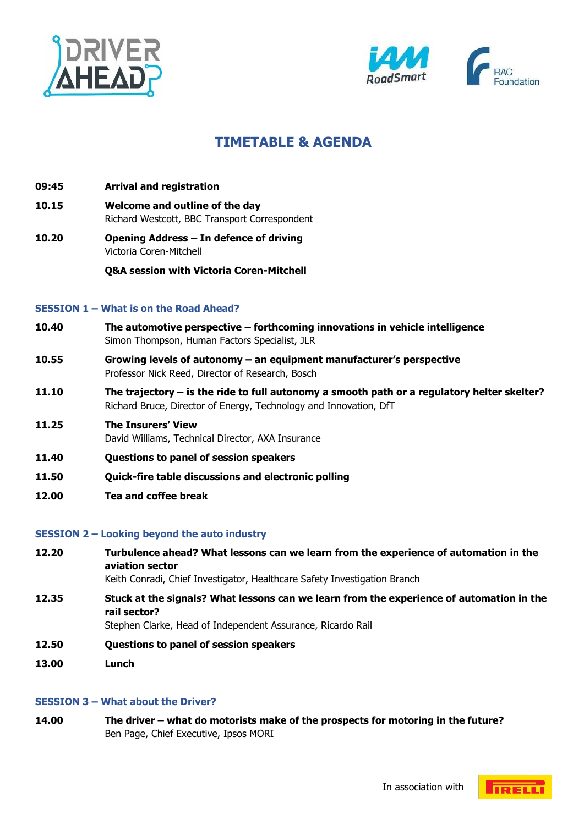



# **TIMETABLE & AGENDA**

- **09:45 Arrival and registration**
- **10.15 Welcome and outline of the day**
- Richard Westcott, BBC Transport Correspondent
- **10.20 Opening Address – In defence of driving** Victoria Coren-Mitchell

**Q&A session with Victoria Coren-Mitchell** 

## **SESSION 1 – What is on the Road Ahead?**

- **10.40 The automotive perspective – forthcoming innovations in vehicle intelligence** Simon Thompson, Human Factors Specialist, JLR
- **10.55 Growing levels of autonomy – an equipment manufacturer's perspective** Professor Nick Reed, Director of Research, Bosch
- **11.10 The trajectory – is the ride to full autonomy a smooth path or a regulatory helter skelter?** Richard Bruce, Director of Energy, Technology and Innovation, DfT
- **11.25 The Insurers' View** David Williams, Technical Director, AXA Insurance
- **11.40 Questions to panel of session speakers**
- **11.50 Quick-fire table discussions and electronic polling**
- **12.00 Tea and coffee break**

#### **SESSION 2 – Looking beyond the auto industry**

**12.20 Turbulence ahead? What lessons can we learn from the experience of automation in the aviation sector**

Keith Conradi, Chief Investigator, Healthcare Safety Investigation Branch

**12.35 Stuck at the signals? What lessons can we learn from the experience of automation in the rail sector?**

Stephen Clarke, Head of Independent Assurance, Ricardo Rail

- **12.50 Questions to panel of session speakers**
- **13.00 Lunch**

#### **SESSION 3 – What about the Driver?**

**14.00 The driver – what do motorists make of the prospects for motoring in the future?** Ben Page, Chief Executive, Ipsos MORI